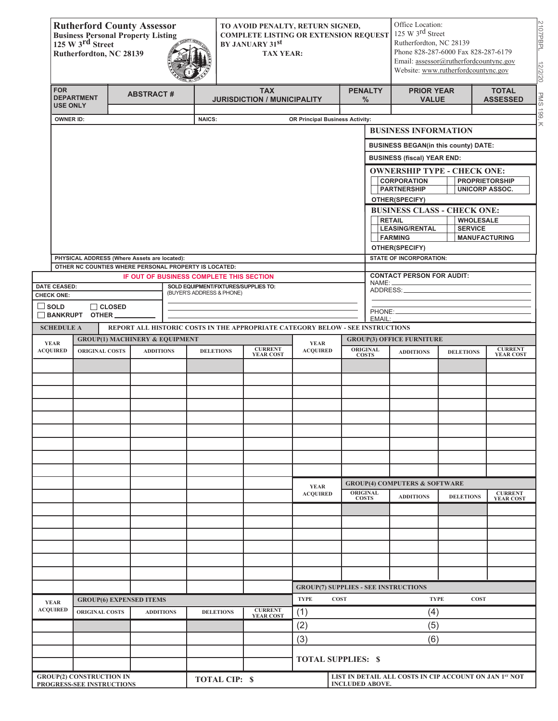|                                  | <b>Rutherford County Assessor</b><br><b>Business Personal Property Listing</b><br>125 W 3rd Street<br>Rutherfordton, NC 28139 |               |                                           |  |                           |                                                  | TO AVOID PENALTY, RETURN SIGNED,<br><b>COMPLETE LISTING OR EXTENSION REQUEST</b><br>BY JANUARY 31st<br><b>TAX YEAR:</b> |                                                                                |                                          |                                             |                                                        | Office Location:<br>125 W 3rd Street<br>Rutherfordton, NC 28139<br>Phone 828-287-6000 Fax 828-287-6179<br>Email: assessor@rutherfordcountync.gov<br>Website: www.rutherfordcountync.gov |                                    |  |
|----------------------------------|-------------------------------------------------------------------------------------------------------------------------------|---------------|-------------------------------------------|--|---------------------------|--------------------------------------------------|-------------------------------------------------------------------------------------------------------------------------|--------------------------------------------------------------------------------|------------------------------------------|---------------------------------------------|--------------------------------------------------------|-----------------------------------------------------------------------------------------------------------------------------------------------------------------------------------------|------------------------------------|--|
| <b>FOR</b>                       | <b>DEPARTMENT</b><br><b>USE ONLY</b>                                                                                          |               | <b>ABSTRACT#</b>                          |  |                           | <b>TAX</b><br><b>JURISDICTION / MUNICIPALITY</b> |                                                                                                                         |                                                                                | <b>PENALTY</b><br>$\%$                   | <b>PRIOR YEAR</b><br><b>VALUE</b>           |                                                        | <b>TOTAL</b><br><b>ASSESSED</b>                                                                                                                                                         |                                    |  |
|                                  | <b>OWNER ID:</b>                                                                                                              |               |                                           |  | <b>NAICS:</b>             |                                                  |                                                                                                                         | OR Principal Business Activity:                                                |                                          |                                             |                                                        |                                                                                                                                                                                         |                                    |  |
|                                  |                                                                                                                               |               |                                           |  |                           |                                                  |                                                                                                                         |                                                                                |                                          |                                             | <b>BUSINESS INFORMATION</b>                            |                                                                                                                                                                                         |                                    |  |
|                                  |                                                                                                                               |               |                                           |  |                           |                                                  |                                                                                                                         |                                                                                |                                          | <b>BUSINESS BEGAN(in this county) DATE:</b> |                                                        |                                                                                                                                                                                         |                                    |  |
|                                  |                                                                                                                               |               |                                           |  |                           |                                                  |                                                                                                                         |                                                                                |                                          |                                             | <b>BUSINESS (fiscal) YEAR END:</b>                     |                                                                                                                                                                                         |                                    |  |
|                                  |                                                                                                                               |               |                                           |  |                           |                                                  |                                                                                                                         |                                                                                |                                          |                                             | <b>OWNERSHIP TYPE - CHECK ONE:</b>                     |                                                                                                                                                                                         |                                    |  |
|                                  |                                                                                                                               |               |                                           |  |                           |                                                  |                                                                                                                         |                                                                                |                                          |                                             | <b>CORPORATION</b>                                     |                                                                                                                                                                                         | <b>PROPRIETORSHIP</b>              |  |
|                                  |                                                                                                                               |               |                                           |  |                           |                                                  |                                                                                                                         |                                                                                |                                          |                                             | <b>PARTNERSHIP</b><br>OTHER(SPECIFY)                   |                                                                                                                                                                                         | <b>UNICORP ASSOC.</b>              |  |
|                                  |                                                                                                                               |               |                                           |  |                           |                                                  |                                                                                                                         |                                                                                |                                          |                                             | <b>BUSINESS CLASS - CHECK ONE:</b>                     |                                                                                                                                                                                         |                                    |  |
|                                  |                                                                                                                               |               |                                           |  |                           |                                                  |                                                                                                                         |                                                                                |                                          | <b>RETAIL</b>                               | <b>WHOLESALE</b>                                       |                                                                                                                                                                                         |                                    |  |
|                                  |                                                                                                                               |               |                                           |  |                           |                                                  |                                                                                                                         |                                                                                |                                          | <b>LEASING/RENTAL</b><br><b>FARMING</b>     | <b>SERVICE</b>                                         | <b>MANUFACTURING</b>                                                                                                                                                                    |                                    |  |
|                                  |                                                                                                                               |               |                                           |  |                           |                                                  |                                                                                                                         |                                                                                |                                          |                                             | OTHER(SPECIFY)                                         |                                                                                                                                                                                         |                                    |  |
|                                  | PHYSICAL ADDRESS (Where Assets are located):<br>OTHER NC COUNTIES WHERE PERSONAL PROPERTY IS LOCATED:                         |               |                                           |  |                           |                                                  |                                                                                                                         |                                                                                |                                          |                                             | <b>STATE OF INCORPORATION:</b>                         |                                                                                                                                                                                         |                                    |  |
|                                  |                                                                                                                               |               | IF OUT OF BUSINESS COMPLETE THIS SECTION  |  |                           |                                                  |                                                                                                                         |                                                                                |                                          |                                             | <b>CONTACT PERSON FOR AUDIT:</b>                       |                                                                                                                                                                                         |                                    |  |
| <b>DATE CEASED:</b>              |                                                                                                                               |               |                                           |  | (BUYER'S ADDRESS & PHONE) |                                                  | SOLD EQUIPMENT/FIXTURES/SUPPLIES TO:                                                                                    |                                                                                |                                          | NAME:<br>ADDRESS:                           |                                                        |                                                                                                                                                                                         |                                    |  |
| <b>CHECK ONE:</b><br>$\Box$ SOLD |                                                                                                                               | $\Box$ CLOSED |                                           |  |                           |                                                  |                                                                                                                         |                                                                                |                                          |                                             |                                                        |                                                                                                                                                                                         |                                    |  |
|                                  | BANKRUPT OTHER                                                                                                                |               |                                           |  |                           |                                                  |                                                                                                                         |                                                                                |                                          | PHONE:<br>EMAIL:                            |                                                        |                                                                                                                                                                                         |                                    |  |
| <b>SCHEDULE A</b>                |                                                                                                                               |               |                                           |  |                           |                                                  |                                                                                                                         | REPORT ALL HISTORIC COSTS IN THE APPROPRIATE CATEGORY BELOW - SEE INSTRUCTIONS |                                          |                                             |                                                        |                                                                                                                                                                                         |                                    |  |
| <b>YEAR</b>                      |                                                                                                                               |               | <b>GROUP(1) MACHINERY &amp; EQUIPMENT</b> |  |                           |                                                  |                                                                                                                         | <b>YEAR</b>                                                                    |                                          |                                             | <b>GROUP(3) OFFICE FURNITURE</b>                       |                                                                                                                                                                                         |                                    |  |
| <b>ACQUIRED</b>                  | <b>ORIGINAL COSTS</b>                                                                                                         |               | <b>ADDITIONS</b>                          |  | <b>DELETIONS</b>          |                                                  | <b>CURRENT</b><br><b>YEAR COST</b>                                                                                      | <b>ACQUIRED</b>                                                                |                                          | <b>ORIGINAL</b><br><b>COSTS</b>             | <b>ADDITIONS</b>                                       | <b>DELETIONS</b>                                                                                                                                                                        | <b>CURRENT</b><br><b>YEAR COST</b> |  |
|                                  |                                                                                                                               |               |                                           |  |                           |                                                  |                                                                                                                         |                                                                                |                                          |                                             |                                                        |                                                                                                                                                                                         |                                    |  |
|                                  |                                                                                                                               |               |                                           |  |                           |                                                  |                                                                                                                         |                                                                                |                                          |                                             |                                                        |                                                                                                                                                                                         |                                    |  |
|                                  |                                                                                                                               |               |                                           |  |                           |                                                  |                                                                                                                         |                                                                                |                                          |                                             |                                                        |                                                                                                                                                                                         |                                    |  |
|                                  |                                                                                                                               |               |                                           |  |                           |                                                  |                                                                                                                         |                                                                                |                                          |                                             |                                                        |                                                                                                                                                                                         |                                    |  |
|                                  |                                                                                                                               |               |                                           |  |                           |                                                  |                                                                                                                         |                                                                                |                                          |                                             |                                                        |                                                                                                                                                                                         |                                    |  |
|                                  |                                                                                                                               |               |                                           |  |                           |                                                  |                                                                                                                         |                                                                                |                                          |                                             |                                                        |                                                                                                                                                                                         |                                    |  |
|                                  |                                                                                                                               |               |                                           |  |                           |                                                  |                                                                                                                         |                                                                                |                                          |                                             |                                                        |                                                                                                                                                                                         |                                    |  |
|                                  |                                                                                                                               |               |                                           |  |                           |                                                  |                                                                                                                         |                                                                                |                                          |                                             |                                                        |                                                                                                                                                                                         |                                    |  |
|                                  |                                                                                                                               |               |                                           |  |                           |                                                  |                                                                                                                         |                                                                                |                                          |                                             |                                                        |                                                                                                                                                                                         |                                    |  |
|                                  |                                                                                                                               |               |                                           |  |                           |                                                  |                                                                                                                         | <b>YEAR</b>                                                                    | <b>GROUP(4) COMPUTERS &amp; SOFTWARE</b> |                                             |                                                        |                                                                                                                                                                                         |                                    |  |
|                                  |                                                                                                                               |               |                                           |  |                           |                                                  |                                                                                                                         | <b>ACQUIRED</b>                                                                | <b>ORIGINAL</b><br><b>COSTS</b>          |                                             | <b>ADDITIONS</b>                                       | <b>DELETIONS</b>                                                                                                                                                                        | <b>CURRENT</b><br><b>YEAR COST</b> |  |
|                                  |                                                                                                                               |               |                                           |  |                           |                                                  |                                                                                                                         |                                                                                |                                          |                                             |                                                        |                                                                                                                                                                                         |                                    |  |
|                                  |                                                                                                                               |               |                                           |  |                           |                                                  |                                                                                                                         |                                                                                |                                          |                                             |                                                        |                                                                                                                                                                                         |                                    |  |
|                                  |                                                                                                                               |               |                                           |  |                           |                                                  |                                                                                                                         |                                                                                |                                          |                                             |                                                        |                                                                                                                                                                                         |                                    |  |
|                                  |                                                                                                                               |               |                                           |  |                           |                                                  |                                                                                                                         |                                                                                |                                          |                                             |                                                        |                                                                                                                                                                                         |                                    |  |
|                                  |                                                                                                                               |               |                                           |  |                           |                                                  |                                                                                                                         |                                                                                |                                          |                                             |                                                        |                                                                                                                                                                                         |                                    |  |
|                                  |                                                                                                                               |               |                                           |  |                           |                                                  |                                                                                                                         |                                                                                |                                          |                                             |                                                        |                                                                                                                                                                                         |                                    |  |
|                                  |                                                                                                                               |               |                                           |  |                           |                                                  |                                                                                                                         | <b>GROUP(7) SUPPLIES - SEE INSTRUCTIONS</b>                                    |                                          |                                             |                                                        |                                                                                                                                                                                         |                                    |  |
| <b>YEAR</b>                      | <b>GROUP(6) EXPENSED ITEMS</b>                                                                                                |               |                                           |  |                           |                                                  |                                                                                                                         | <b>TYPE</b><br><b>COST</b><br><b>TYPE</b><br><b>COST</b>                       |                                          |                                             |                                                        |                                                                                                                                                                                         |                                    |  |
| <b>ACQUIRED</b>                  | <b>ORIGINAL COSTS</b>                                                                                                         |               | <b>ADDITIONS</b>                          |  | <b>DELETIONS</b>          |                                                  | <b>CURRENT</b><br><b>YEAR COST</b>                                                                                      | (1)                                                                            |                                          |                                             | (4)                                                    |                                                                                                                                                                                         |                                    |  |
|                                  |                                                                                                                               |               |                                           |  |                           |                                                  |                                                                                                                         | (2)                                                                            |                                          |                                             | (5)                                                    |                                                                                                                                                                                         |                                    |  |
|                                  |                                                                                                                               |               |                                           |  |                           |                                                  |                                                                                                                         | (3)                                                                            |                                          |                                             | (6)                                                    |                                                                                                                                                                                         |                                    |  |
|                                  |                                                                                                                               |               |                                           |  |                           |                                                  |                                                                                                                         |                                                                                |                                          |                                             |                                                        |                                                                                                                                                                                         |                                    |  |
|                                  |                                                                                                                               |               |                                           |  |                           |                                                  |                                                                                                                         | <b>TOTAL SUPPLIES: \$</b>                                                      |                                          |                                             |                                                        |                                                                                                                                                                                         |                                    |  |
|                                  | <b>GROUP(2) CONSTRUCTION IN</b><br>PROGRESS-SEE INSTRUCTIONS                                                                  |               |                                           |  | <b>TOTAL CIP: \$</b>      |                                                  |                                                                                                                         |                                                                                |                                          | <b>INCLUDED ABOVE.</b>                      | LIST IN DETAIL ALL COSTS IN CIP ACCOUNT ON JAN 1st NOT |                                                                                                                                                                                         |                                    |  |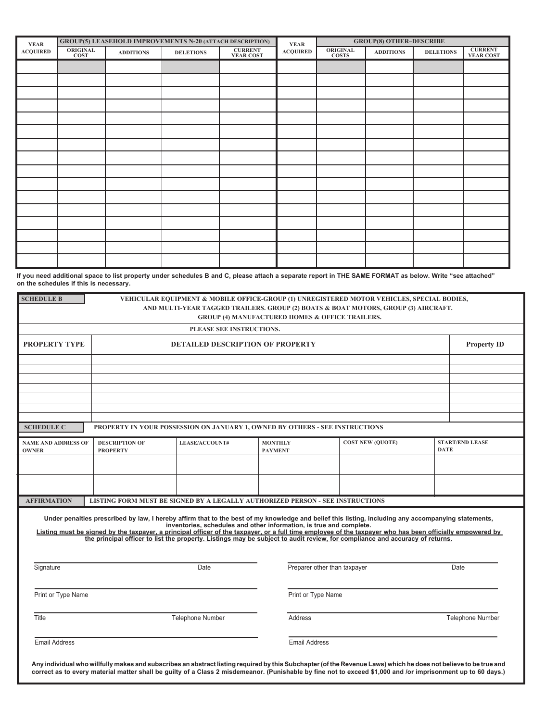| <b>YEAR</b>     |                         |                  | GROUP(5) LEASEHOLD IMPROVEMENTS N-20 (ATTACH DESCRIPTION) |                             | <b>YEAR</b>     | <b>GROUP(8) OTHER-DESCRIBE</b>  |                  |                  |                             |  |
|-----------------|-------------------------|------------------|-----------------------------------------------------------|-----------------------------|-----------------|---------------------------------|------------------|------------------|-----------------------------|--|
| <b>ACQUIRED</b> | ORIGINAL<br><b>COST</b> | <b>ADDITIONS</b> | <b>DELETIONS</b>                                          | <b>CURRENT</b><br>YEAR COST | <b>ACQUIRED</b> | <b>ORIGINAL</b><br><b>COSTS</b> | <b>ADDITIONS</b> | <b>DELETIONS</b> | <b>CURRENT</b><br>YEAR COST |  |
|                 |                         |                  |                                                           |                             |                 |                                 |                  |                  |                             |  |
|                 |                         |                  |                                                           |                             |                 |                                 |                  |                  |                             |  |
|                 |                         |                  |                                                           |                             |                 |                                 |                  |                  |                             |  |
|                 |                         |                  |                                                           |                             |                 |                                 |                  |                  |                             |  |
|                 |                         |                  |                                                           |                             |                 |                                 |                  |                  |                             |  |
|                 |                         |                  |                                                           |                             |                 |                                 |                  |                  |                             |  |
|                 |                         |                  |                                                           |                             |                 |                                 |                  |                  |                             |  |
|                 |                         |                  |                                                           |                             |                 |                                 |                  |                  |                             |  |
|                 |                         |                  |                                                           |                             |                 |                                 |                  |                  |                             |  |
|                 |                         |                  |                                                           |                             |                 |                                 |                  |                  |                             |  |
|                 |                         |                  |                                                           |                             |                 |                                 |                  |                  |                             |  |
|                 |                         |                  |                                                           |                             |                 |                                 |                  |                  |                             |  |
|                 |                         |                  |                                                           |                             |                 |                                 |                  |                  |                             |  |
|                 |                         |                  |                                                           |                             |                 |                                 |                  |                  |                             |  |
|                 |                         |                  |                                                           |                             |                 |                                 |                  |                  |                             |  |
|                 |                         |                  |                                                           |                             |                 |                                 |                  |                  |                             |  |

**If you need additional space to list property under schedules B and C, please attach a separate report in THE SAME FORMAT as below. Write "see attached" on the schedules if this is necessary.**

| <b>SCHEDULE B</b>                          |                                                                                                                                                                                                                                                                                                                                                                                                                                                  |                                                                             |                                  | <b>GROUP (4) MANUFACTURED HOMES &amp; OFFICE TRAILERS.</b> | VEHICULAR EQUIPMENT & MOBILE OFFICE-GROUP (1) UNREGISTERED MOTOR VEHICLES, SPECIAL BODIES,<br>AND MULTI-YEAR TAGGED TRAILERS. GROUP (2) BOATS & BOAT MOTORS, GROUP (3) AIRCRAFT. |                    |                         |  |
|--------------------------------------------|--------------------------------------------------------------------------------------------------------------------------------------------------------------------------------------------------------------------------------------------------------------------------------------------------------------------------------------------------------------------------------------------------------------------------------------------------|-----------------------------------------------------------------------------|----------------------------------|------------------------------------------------------------|----------------------------------------------------------------------------------------------------------------------------------------------------------------------------------|--------------------|-------------------------|--|
|                                            |                                                                                                                                                                                                                                                                                                                                                                                                                                                  | PLEASE SEE INSTRUCTIONS.                                                    |                                  |                                                            |                                                                                                                                                                                  |                    |                         |  |
| <b>PROPERTY TYPE</b>                       |                                                                                                                                                                                                                                                                                                                                                                                                                                                  | <b>DETAILED DESCRIPTION OF PROPERTY</b>                                     |                                  |                                                            |                                                                                                                                                                                  | <b>Property ID</b> |                         |  |
|                                            |                                                                                                                                                                                                                                                                                                                                                                                                                                                  |                                                                             |                                  |                                                            |                                                                                                                                                                                  |                    |                         |  |
|                                            |                                                                                                                                                                                                                                                                                                                                                                                                                                                  |                                                                             |                                  |                                                            |                                                                                                                                                                                  |                    |                         |  |
|                                            |                                                                                                                                                                                                                                                                                                                                                                                                                                                  |                                                                             |                                  |                                                            |                                                                                                                                                                                  |                    |                         |  |
| <b>SCHEDULE C</b>                          | PROPERTY IN YOUR POSSESSION ON JANUARY 1, OWNED BY OTHERS - SEE INSTRUCTIONS                                                                                                                                                                                                                                                                                                                                                                     |                                                                             |                                  |                                                            |                                                                                                                                                                                  |                    |                         |  |
| <b>NAME AND ADDRESS OF</b><br><b>OWNER</b> | <b>DESCRIPTION OF</b><br><b>PROPERTY</b>                                                                                                                                                                                                                                                                                                                                                                                                         | <b>LEASE/ACCOUNT#</b>                                                       | <b>MONTHLY</b><br><b>PAYMENT</b> |                                                            | <b>COST NEW (QUOTE)</b>                                                                                                                                                          | <b>DATE</b>        | <b>START/END LEASE</b>  |  |
|                                            |                                                                                                                                                                                                                                                                                                                                                                                                                                                  |                                                                             |                                  |                                                            |                                                                                                                                                                                  |                    |                         |  |
|                                            |                                                                                                                                                                                                                                                                                                                                                                                                                                                  |                                                                             |                                  |                                                            |                                                                                                                                                                                  |                    |                         |  |
| <b>AFFIRMATION</b>                         | LISTING FORM MUST BE SIGNED BY A LEGALLY AUTHORIZED PERSON - SEE INSTRUCTIONS                                                                                                                                                                                                                                                                                                                                                                    |                                                                             |                                  |                                                            |                                                                                                                                                                                  |                    |                         |  |
| Signature                                  | Under penalties prescribed by law, I hereby affirm that to the best of my knowledge and belief this listing, including any accompanying statements,<br>Listing must be signed by the taxpayer, a principal officer of the taxpayer, or a full time employee of the taxpayer who has been officially empowered by<br>the principal officer to list the property. Listings may be subject to audit review, for compliance and accuracy of returns. | inventories, schedules and other information, is true and complete.<br>Date |                                  | Preparer other than taxpayer                               |                                                                                                                                                                                  |                    | Date                    |  |
| Print or Type Name                         |                                                                                                                                                                                                                                                                                                                                                                                                                                                  |                                                                             |                                  | Print or Type Name                                         |                                                                                                                                                                                  |                    |                         |  |
|                                            |                                                                                                                                                                                                                                                                                                                                                                                                                                                  |                                                                             |                                  |                                                            |                                                                                                                                                                                  |                    |                         |  |
| Title                                      |                                                                                                                                                                                                                                                                                                                                                                                                                                                  | <b>Telephone Number</b>                                                     |                                  | Address                                                    |                                                                                                                                                                                  |                    | <b>Telephone Number</b> |  |
|                                            |                                                                                                                                                                                                                                                                                                                                                                                                                                                  |                                                                             |                                  |                                                            |                                                                                                                                                                                  |                    |                         |  |

**correct as to every material matter shall be guilty of a Class 2 misdemeanor. (Punishable by fine not to exceed \$1,000 and /or imprisonment up to 60 days.)**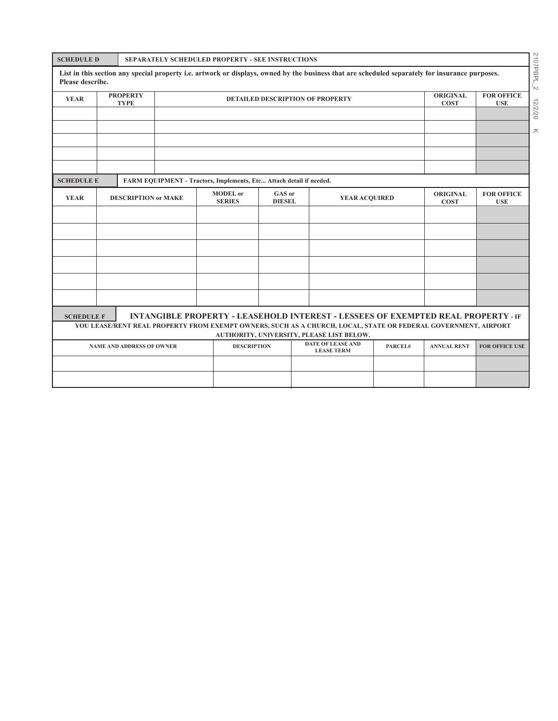| <b>SCHEDULE D</b>                                                                                                                                                |                                                                           | SEPARATELY SCHEDULED PROPERTY - SEE INSTRUCTIONS |                                                                     |  |  |               |                                                                                                                                                 |                                |                                 |              |
|------------------------------------------------------------------------------------------------------------------------------------------------------------------|---------------------------------------------------------------------------|--------------------------------------------------|---------------------------------------------------------------------|--|--|---------------|-------------------------------------------------------------------------------------------------------------------------------------------------|--------------------------------|---------------------------------|--------------|
| Please describe.                                                                                                                                                 |                                                                           |                                                  |                                                                     |  |  |               | List in this section any special property i.e. artwork or displays, owned by the business that are scheduled separately for insurance purposes. |                                |                                 | 2107PBPL_2   |
| <b>YEAR</b>                                                                                                                                                      | <b>PROPERTY</b><br><b>DETAILED DESCRIPTION OF PROPERTY</b><br><b>TYPE</b> |                                                  |                                                                     |  |  |               |                                                                                                                                                 | <b>ORIGINAL</b><br><b>COST</b> | <b>FOR OFFICE</b><br><b>USE</b> |              |
|                                                                                                                                                                  |                                                                           |                                                  |                                                                     |  |  |               |                                                                                                                                                 |                                |                                 | 771<br>02/20 |
|                                                                                                                                                                  |                                                                           |                                                  |                                                                     |  |  |               |                                                                                                                                                 | ㅈ                              |                                 |              |
|                                                                                                                                                                  |                                                                           |                                                  |                                                                     |  |  |               |                                                                                                                                                 |                                |                                 |              |
|                                                                                                                                                                  |                                                                           |                                                  |                                                                     |  |  |               |                                                                                                                                                 |                                |                                 |              |
| <b>SCHEDULE E</b>                                                                                                                                                |                                                                           |                                                  | FARM EQUIPMENT - Tractors, Implements, Etc Attach detail if needed. |  |  |               |                                                                                                                                                 |                                |                                 |              |
| <b>YEAR</b>                                                                                                                                                      | <b>DESCRIPTION or MAKE</b>                                                |                                                  | <b>MODEL</b> or<br>GAS or<br><b>SERIES</b><br><b>DIESEL</b>         |  |  | YEAR ACQUIRED |                                                                                                                                                 | <b>ORIGINAL</b><br><b>COST</b> | <b>FOR OFFICE</b><br><b>USE</b> |              |
|                                                                                                                                                                  |                                                                           |                                                  |                                                                     |  |  |               |                                                                                                                                                 |                                |                                 |              |
|                                                                                                                                                                  |                                                                           |                                                  |                                                                     |  |  |               |                                                                                                                                                 |                                |                                 |              |
|                                                                                                                                                                  |                                                                           |                                                  |                                                                     |  |  |               |                                                                                                                                                 |                                |                                 |              |
|                                                                                                                                                                  |                                                                           |                                                  |                                                                     |  |  |               |                                                                                                                                                 |                                |                                 |              |
|                                                                                                                                                                  |                                                                           |                                                  |                                                                     |  |  |               |                                                                                                                                                 |                                |                                 |              |
|                                                                                                                                                                  |                                                                           |                                                  |                                                                     |  |  |               |                                                                                                                                                 |                                |                                 |              |
| <b>SCHEDULE F</b>                                                                                                                                                |                                                                           |                                                  |                                                                     |  |  |               | <b>INTANGIBLE PROPERTY - LEASEHOLD INTEREST - LESSEES OF EXEMPTED REAL PROPERTY - IF</b>                                                        |                                |                                 |              |
|                                                                                                                                                                  |                                                                           |                                                  |                                                                     |  |  |               | YOU LEASE/RENT REAL PROPERTY FROM EXEMPT OWNERS, SUCH AS A CHURCH, LOCAL, STATE OR FEDERAL GOVERNMENT, AIRPORT                                  |                                |                                 |              |
| AUTHORITY, UNIVERSITY, PLEASE LIST BELOW.<br><b>DATE OF LEASE AND</b><br><b>DESCRIPTION</b><br>PARCEL#<br><b>ANNUAL RENT</b><br><b>NAME AND ADDRESS OF OWNER</b> |                                                                           |                                                  |                                                                     |  |  |               | FOR OFFICE USE                                                                                                                                  |                                |                                 |              |
|                                                                                                                                                                  |                                                                           |                                                  |                                                                     |  |  |               | <b>LEASE TERM</b>                                                                                                                               |                                |                                 |              |
|                                                                                                                                                                  |                                                                           |                                                  |                                                                     |  |  |               |                                                                                                                                                 |                                |                                 |              |
|                                                                                                                                                                  |                                                                           |                                                  |                                                                     |  |  |               |                                                                                                                                                 |                                |                                 |              |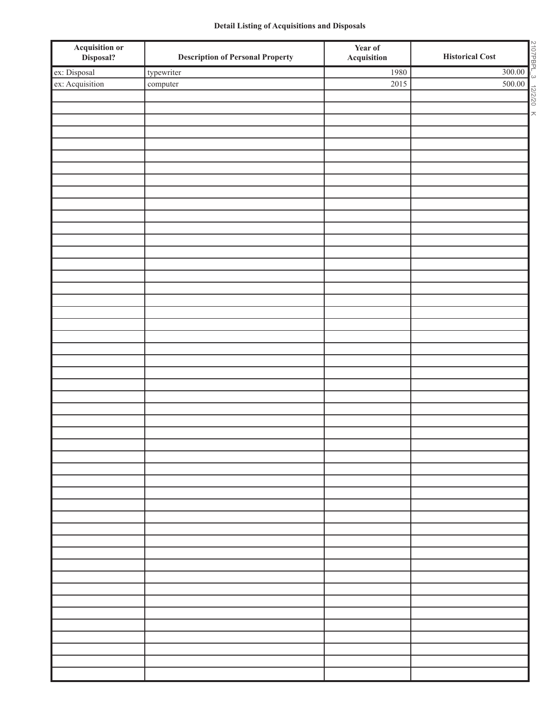## **Detail Listing of Acquisitions and Disposals**

| <b>Acquisition or<br/>Disposal?</b> | <b>Description of Personal Property</b> | Year of<br>Acquisition | 2107PBPL_3 12/2/20<br><b>Historical Cost</b> |
|-------------------------------------|-----------------------------------------|------------------------|----------------------------------------------|
| ex: Disposal                        | typewriter                              | 1980                   | 300.00                                       |
| ex: Acquisition                     | $\mathop{\rm computer}\nolimits$        | 2015                   | 500.00                                       |
|                                     |                                         |                        |                                              |
|                                     |                                         |                        | $\overline{\phantom{a}}$                     |
|                                     |                                         |                        |                                              |
|                                     |                                         |                        |                                              |
|                                     |                                         |                        |                                              |
|                                     |                                         |                        |                                              |
|                                     |                                         |                        |                                              |
|                                     |                                         |                        |                                              |
|                                     |                                         |                        |                                              |
|                                     |                                         |                        |                                              |
|                                     |                                         |                        |                                              |
|                                     |                                         |                        |                                              |
|                                     |                                         |                        |                                              |
|                                     |                                         |                        |                                              |
|                                     |                                         |                        |                                              |
|                                     |                                         |                        |                                              |
|                                     |                                         |                        |                                              |
|                                     |                                         |                        |                                              |
|                                     |                                         |                        |                                              |
|                                     |                                         |                        |                                              |
|                                     |                                         |                        |                                              |
|                                     |                                         |                        |                                              |
|                                     |                                         |                        |                                              |
|                                     |                                         |                        |                                              |
|                                     |                                         |                        |                                              |
|                                     |                                         |                        |                                              |
|                                     |                                         |                        |                                              |
|                                     |                                         |                        |                                              |
|                                     |                                         |                        |                                              |
|                                     |                                         |                        |                                              |
|                                     |                                         |                        |                                              |
|                                     |                                         |                        |                                              |
|                                     |                                         |                        |                                              |
|                                     |                                         |                        |                                              |
|                                     |                                         |                        |                                              |
|                                     |                                         |                        |                                              |
|                                     |                                         |                        |                                              |
|                                     |                                         |                        |                                              |
|                                     |                                         |                        |                                              |
|                                     |                                         |                        |                                              |
|                                     |                                         |                        |                                              |
|                                     |                                         |                        |                                              |
|                                     |                                         |                        |                                              |
|                                     |                                         |                        |                                              |
|                                     |                                         |                        |                                              |
|                                     |                                         |                        |                                              |
|                                     |                                         |                        |                                              |
|                                     |                                         |                        |                                              |
|                                     |                                         |                        |                                              |
|                                     |                                         |                        |                                              |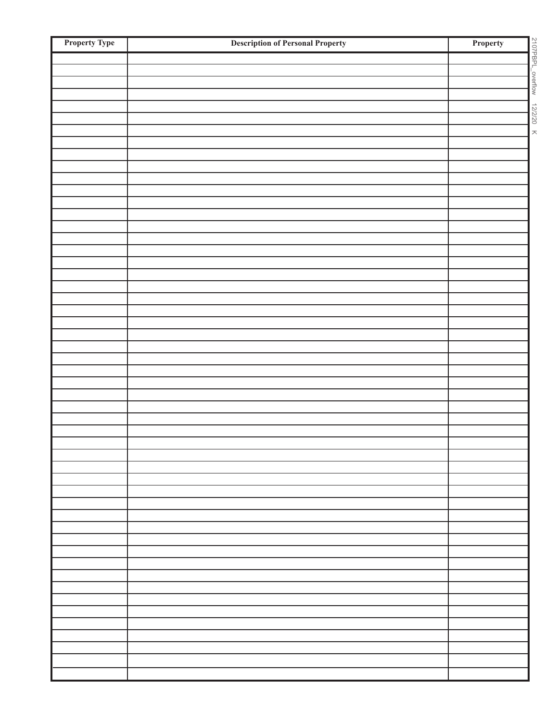| <b>Property Type</b> | <b>Description of Personal Property</b> | 2107PBPL_overtiow<br>Property |
|----------------------|-----------------------------------------|-------------------------------|
|                      |                                         |                               |
|                      |                                         |                               |
|                      |                                         |                               |
|                      |                                         |                               |
|                      |                                         | 12/2/20                       |
|                      |                                         |                               |
|                      |                                         |                               |
|                      |                                         |                               |
|                      |                                         |                               |
|                      |                                         |                               |
|                      |                                         |                               |
|                      |                                         |                               |
|                      |                                         |                               |
|                      |                                         |                               |
|                      |                                         |                               |
|                      |                                         |                               |
|                      |                                         |                               |
|                      |                                         |                               |
|                      |                                         |                               |
|                      |                                         |                               |
|                      |                                         |                               |
|                      |                                         |                               |
|                      |                                         |                               |
|                      |                                         |                               |
|                      |                                         |                               |
|                      |                                         |                               |
|                      |                                         |                               |
|                      |                                         |                               |
|                      |                                         |                               |
|                      |                                         |                               |
|                      |                                         |                               |
|                      |                                         |                               |
|                      |                                         |                               |
|                      |                                         |                               |
|                      |                                         |                               |
|                      |                                         |                               |
|                      |                                         |                               |
|                      |                                         |                               |
|                      |                                         |                               |
|                      |                                         |                               |
|                      |                                         |                               |
|                      |                                         |                               |
|                      |                                         |                               |
|                      |                                         |                               |
|                      |                                         |                               |
|                      |                                         |                               |
|                      |                                         |                               |
|                      |                                         |                               |
|                      |                                         |                               |
|                      |                                         |                               |